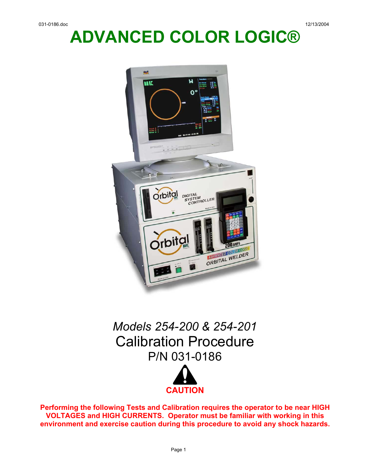# **ADVANCED COLOR LOGIC®**



## *Models 254-200 & 254-201*  Calibration Procedure P/N 031-0186



**Performing the following Tests and Calibration requires the operator to be near HIGH VOLTAGES and HIGH CURRENTS. Operator must be familiar with working in this environment and exercise caution during this procedure to avoid any shock hazards.**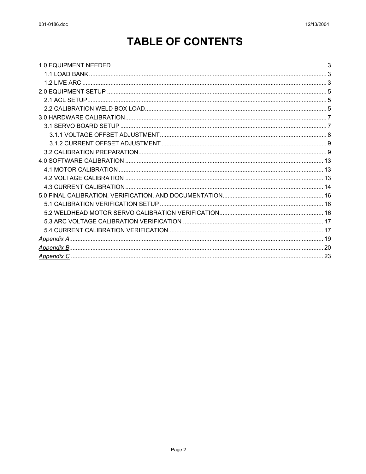## **TABLE OF CONTENTS**

| 1.2 LIVE ARC |  |
|--------------|--|
|              |  |
|              |  |
|              |  |
|              |  |
|              |  |
|              |  |
|              |  |
|              |  |
|              |  |
|              |  |
|              |  |
|              |  |
|              |  |
|              |  |
|              |  |
|              |  |
|              |  |
|              |  |
|              |  |
|              |  |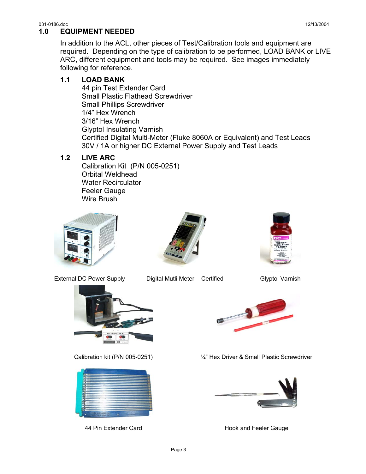#### <span id="page-2-0"></span>031-0186.doc 12/13/2004 **1.0 EQUIPMENT NEEDED**

In addition to the ACL, other pieces of Test/Calibration tools and equipment are required. Depending on the type of calibration to be performed, LOAD BANK or LIVE ARC, different equipment and tools may be required. See images immediately following for reference.

## **1.1 LOAD BANK**

44 pin Test Extender Card Small Plastic Flathead Screwdriver Small Phillips Screwdriver 1/4" Hex Wrench 3/16" Hex Wrench Glyptol Insulating Varnish Certified Digital Multi-Meter (Fluke 8060A or Equivalent) and Test Leads 30V / 1A or higher DC External Power Supply and Test Leads

## **1.2 LIVE ARC**

Calibration Kit (P/N 005-0251) Orbital Weldhead Water Recirculator Feeler Gauge Wire Brush





External DC Power Supply Digital Mutli Meter - Certified Glyptol Varnish









Calibration kit (P/N 005-0251) ¼" Hex Driver & Small Plastic Screwdriver



44 Pin Extender Card **Hook and Feeler Gauge**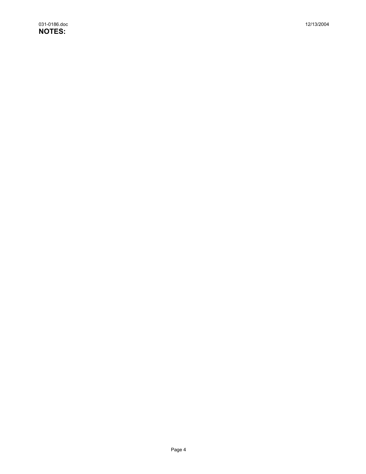031-0186.doc 12/13/2004 **NOTES:**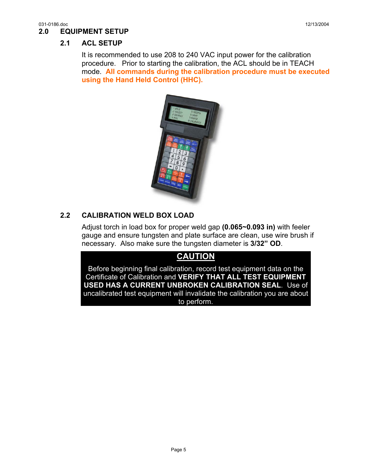## <span id="page-4-0"></span>**2.1 ACL SETUP**

It is recommended to use 208 to 240 VAC input power for the calibration procedure. Prior to starting the calibration, the ACL should be in TEACH mode. **All commands during the calibration procedure must be executed using the Hand Held Control (HHC).**



## **2.2 CALIBRATION WELD BOX LOAD**

Adjust torch in load box for proper weld gap **(0.065~0.093 in)** with feeler gauge and ensure tungsten and plate surface are clean, use wire brush if necessary. Also make sure the tungsten diameter is **3/32" OD**.

## **CAUTION**

Before beginning final calibration, record test equipment data on the Certificate of Calibration and **VERIFY THAT ALL TEST EQUIPMENT USED HAS A CURRENT UNBROKEN CALIBRATION SEAL**. Use of uncalibrated test equipment will invalidate the calibration you are about to perform.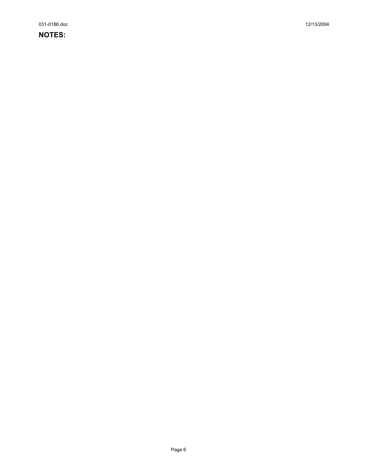031-0186.doc 12/13/2004

### **NOTES:**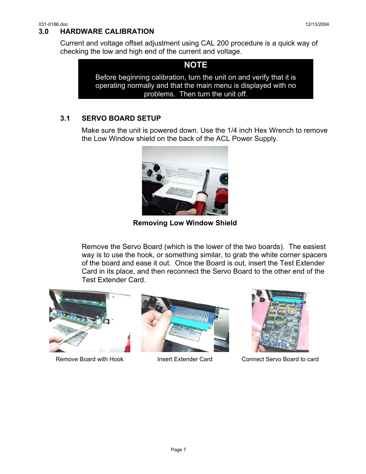#### <span id="page-6-0"></span>031-0186.doc 12/13/2004 **3.0 HARDWARE CALIBRATION**

Current and voltage offset adjustment using CAL 200 procedure is a quick way of checking the low and high end of the current and voltage.

**NOTE**  Before beginning calibration, turn the unit on and verify that it is operating normally and that the main menu is displayed with no problems. Then turn the unit off.

## **3.1 SERVO BOARD SETUP**

Make sure the unit is powered down. Use the 1/4 inch Hex Wrench to remove the Low Window shield on the back of the ACL Power Supply.



**Removing Low Window Shield** 

Remove the Servo Board (which is the lower of the two boards). The easiest way is to use the hook, or something similar, to grab the white corner spacers of the board and ease it out. Once the Board is out, insert the Test Extender Card in its place, and then reconnect the Servo Board to the other end of the Test Extender Card.







Remove Board with Hook Insert Extender Card Connect Servo Board to card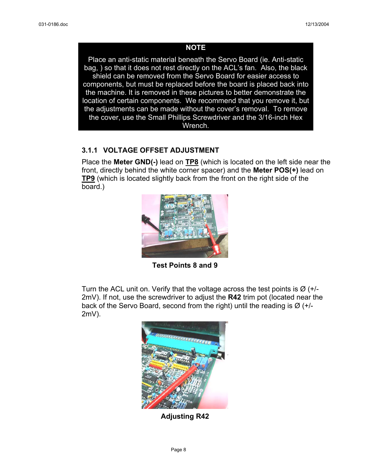#### **NOTE**

<span id="page-7-0"></span>Place an anti-static material beneath the Servo Board (ie. Anti-static bag, ) so that it does not rest directly on the ACL's fan. Also, the black shield can be removed from the Servo Board for easier access to components, but must be replaced before the board is placed back into the machine. It is removed in these pictures to better demonstrate the location of certain components. We recommend that you remove it, but the adjustments can be made without the cover's removal. To remove the cover, use the Small Phillips Screwdriver and the 3/16-inch Hex Wrench.

### **3.1.1 VOLTAGE OFFSET ADJUSTMENT**

Place the **Meter GND(-)** lead on **TP8** (which is located on the left side near the front, directly behind the white corner spacer) and the **Meter POS(+)** lead on **TP9** (which is located slightly back from the front on the right side of the board.)



**Test Points 8 and 9** 

Turn the ACL unit on. Verify that the voltage across the test points is  $\varnothing$  (+/-2mV). If not, use the screwdriver to adjust the **R42** trim pot (located near the back of the Servo Board, second from the right) until the reading is  $\varnothing$  (+/-2mV).



**Adjusting R42**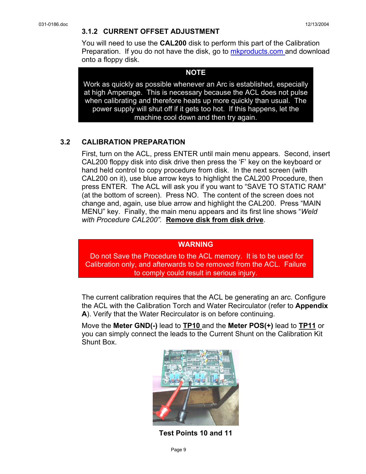<span id="page-8-0"></span>You will need to use the **CAL200** disk to perform this part of the Calibration Preparation. If you do not have the disk, go to mkproducts.com and download onto a floppy disk.

#### **NOTE**

Work as quickly as possible whenever an Arc is established, especially at high Amperage. This is necessary because the ACL does not pulse when calibrating and therefore heats up more quickly than usual. The power supply will shut off if it gets too hot. If this happens, let the machine cool down and then try again.

### **3.2 CALIBRATION PREPARATION**

First, turn on the ACL, press ENTER until main menu appears. Second, insert CAL200 floppy disk into disk drive then press the 'F' key on the keyboard or hand held control to copy procedure from disk. In the next screen (with CAL200 on it), use blue arrow keys to highlight the CAL200 Procedure, then press ENTER. The ACL will ask you if you want to "SAVE TO STATIC RAM" (at the bottom of screen). Press NO. The content of the screen does not change and, again, use blue arrow and highlight the CAL200. Press "MAIN MENU" key. Finally, the main menu appears and its first line shows "*Weld with Procedure CAL200".* **Remove disk from disk drive**.

#### **WARNING**

 Do not Save the Procedure to the ACL memory. It is to be used for Calibration only, and afterwards to be removed from the ACL. Failure to comply could result in serious injury.

The current calibration requires that the ACL be generating an arc. Configure the ACL with the Calibration Torch and Water Recirculator (refer to **Appendix A**). Verify that the Water Recirculator is on before continuing.

Move the **Meter GND(-)** lead to **TP10** and the **Meter POS(+)** lead to **TP11** or you can simply connect the leads to the Current Shunt on the Calibration Kit Shunt Box.



**Test Points 10 and 11**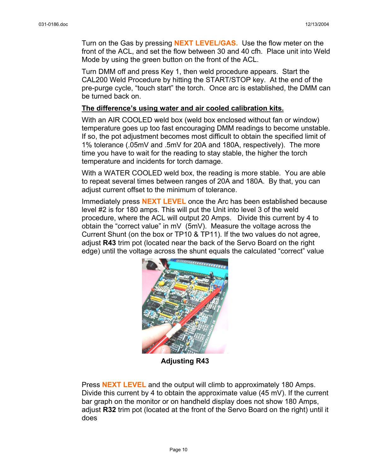Turn on the Gas by pressing **NEXT LEVEL/GAS.** Use the flow meter on the front of the ACL, and set the flow between 30 and 40 cfh. Place unit into Weld Mode by using the green button on the front of the ACL.

Turn DMM off and press Key 1, then weld procedure appears. Start the CAL200 Weld Procedure by hitting the START/STOP key. At the end of the pre-purge cycle, "touch start" the torch. Once arc is established, the DMM can be turned back on.

#### **The difference's using water and air cooled calibration kits.**

With an AIR COOLED weld box (weld box enclosed without fan or window) temperature goes up too fast encouraging DMM readings to become unstable. If so, the pot adjustment becomes most difficult to obtain the specified limit of 1% tolerance (.05mV and .5mV for 20A and 180A, respectively). The more time you have to wait for the reading to stay stable, the higher the torch temperature and incidents for torch damage.

With a WATER COOLED weld box, the reading is more stable. You are able to repeat several times between ranges of 20A and 180A. By that, you can adjust current offset to the minimum of tolerance.

Immediately press **NEXT LEVEL** once the Arc has been established because level #2 is for 180 amps. This will put the Unit into level 3 of the weld procedure, where the ACL will output 20 Amps. Divide this current by 4 to obtain the "correct value" in mV (5mV). Measure the voltage across the Current Shunt (on the box or TP10 & TP11). If the two values do not agree, adjust **R43** trim pot (located near the back of the Servo Board on the right edge) until the voltage across the shunt equals the calculated "correct" value



**Adjusting R43** 

Press **NEXT LEVEL** and the output will climb to approximately 180 Amps. Divide this current by 4 to obtain the approximate value  $(45 \text{ mV})$ . If the current bar graph on the monitor or on handheld display does not show 180 Amps, adjust **R32** trim pot (located at the front of the Servo Board on the right) until it does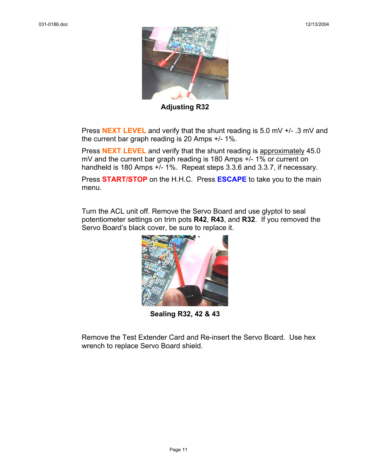

**Adjusting R32** 

Press **NEXT LEVEL** and verify that the shunt reading is 5.0 mV +/- .3 mV and the current bar graph reading is 20 Amps +/- 1%.

Press **NEXT LEVEL** and verify that the shunt reading is approximately 45.0 mV and the current bar graph reading is 180 Amps +/- 1% or current on handheld is 180 Amps +/- 1%. Repeat steps 3.3.6 and 3.3.7, if necessary.

Press **START/STOP** on the H.H.C. Press **ESCAPE** to take you to the main menu.

Turn the ACL unit off. Remove the Servo Board and use glyptol to seal potentiometer settings on trim pots **R42**, **R43**, and **R32**. If you removed the Servo Board's black cover, be sure to replace it.



**Sealing R32, 42 & 43** 

Remove the Test Extender Card and Re-insert the Servo Board. Use hex wrench to replace Servo Board shield.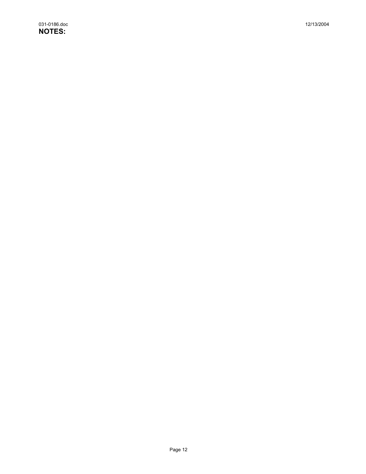031-0186.doc 12/13/2004 **NOTES:**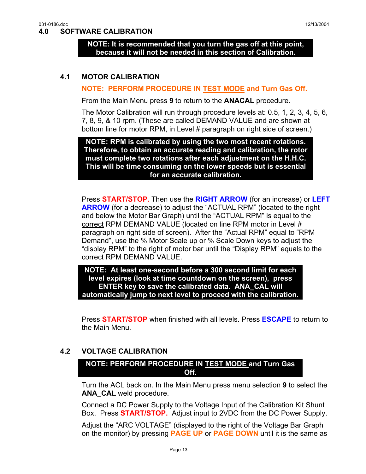#### <span id="page-12-0"></span>**4.0 SOFTWARE CALIBRATION**

**NOTE: It is recommended that you turn the gas off at this point, because it will not be needed in this section of Calibration.** 

#### **4.1 MOTOR CALIBRATION**

#### **NOTE: PERFORM PROCEDURE IN TEST MODE and Turn Gas Off.**

From the Main Menu press **9** to return to the **ANACAL** procedure.

The Motor Calibration will run through procedure levels at: 0.5, 1, 2, 3, 4, 5, 6, 7, 8, 9, & 10 rpm. (These are called DEMAND VALUE and are shown at bottom line for motor RPM, in Level # paragraph on right side of screen.)

**NOTE: RPM is calibrated by using the two most recent rotations. Therefore, to obtain an accurate reading and calibration, the rotor must complete two rotations after each adjustment on the H.H.C. This will be time consuming on the lower speeds but is essential for an accurate calibration.** 

Press **START/STOP.** Then use the **RIGHT ARROW** (for an increase) or **LEFT ARROW** (for a decrease) to adjust the "ACTUAL RPM" (located to the right and below the Motor Bar Graph) until the "ACTUAL RPM" is equal to the correct RPM DEMAND VALUE (located on line RPM motor in Level # paragraph on right side of screen). After the "Actual RPM" equal to "RPM Demand", use the % Motor Scale up or % Scale Down keys to adjust the "display RPM" to the right of motor bar until the "Display RPM" equals to the correct RPM DEMAND VALUE.

**NOTE: At least one-second before a 300 second limit for each level expires (look at time countdown on the screen), press ENTER key to save the calibrated data. ANA\_CAL will automatically jump to next level to proceed with the calibration.** 

Press **START/STOP** when finished with all levels. Press **ESCAPE** to return to the Main Menu.

#### **4.2 VOLTAGE CALIBRATION**

#### **NOTE: PERFORM PROCEDURE IN TEST MODE and Turn Gas Off.**

Turn the ACL back on. In the Main Menu press menu selection **9** to select the **ANA CAL** weld procedure.

Connect a DC Power Supply to the Voltage Input of the Calibration Kit Shunt Box. Press **START/STOP.** Adjust input to 2VDC from the DC Power Supply.

Adjust the "ARC VOLTAGE" (displayed to the right of the Voltage Bar Graph on the monitor) by pressing **PAGE UP** or **PAGE DOWN** until it is the same as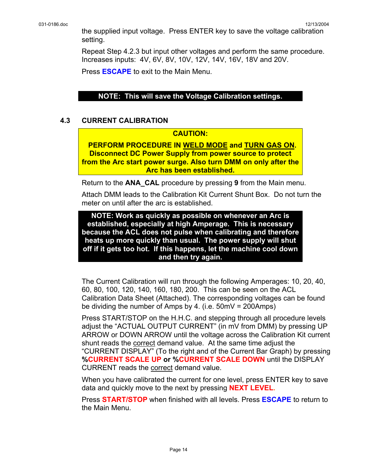<span id="page-13-0"></span>the supplied input voltage. Press ENTER key to save the voltage calibration setting.

Repeat Step 4.2.3 but input other voltages and perform the same procedure. Increases inputs: 4V, 6V, 8V, 10V, 12V, 14V, 16V, 18V and 20V.

Press **ESCAPE** to exit to the Main Menu.

#### **NOTE: This will save the Voltage Calibration settings.**

#### **4.3 CURRENT CALIBRATION**

#### **CAUTION:**

**PERFORM PROCEDURE IN WELD MODE and TURN GAS ON. Disconnect DC Power Supply from power source to protect from the Arc start power surge. Also turn DMM on only after the Arc has been established.** 

Return to the **ANA\_CAL** procedure by pressing **9** from the Main menu.

Attach DMM leads to the Calibration Kit Current Shunt Box. Do not turn the meter on until after the arc is established.

**NOTE: Work as quickly as possible on whenever an Arc is established, especially at high Amperage. This is necessary because the ACL does not pulse when calibrating and therefore heats up more quickly than usual. The power supply will shut off if it gets too hot. If this happens, let the machine cool down and then try again.** 

The Current Calibration will run through the following Amperages: 10, 20, 40, 60, 80, 100, 120, 140, 160, 180, 200. This can be seen on the ACL Calibration Data Sheet (Attached). The corresponding voltages can be found be dividing the number of Amps by 4. (i.e. 50mV = 200Amps)

Press START/STOP on the H.H.C. and stepping through all procedure levels adjust the "ACTUAL OUTPUT CURRENT" (in mV from DMM) by pressing UP ARROW or DOWN ARROW until the voltage across the Calibration Kit current shunt reads the correct demand value. At the same time adjust the "CURRENT DISPLAY" (To the right and of the Current Bar Graph) by pressing **%CURRENT SCALE UP or %CURRENT SCALE DOWN** until the DISPLAY CURRENT reads the correct demand value.

When you have calibrated the current for one level, press ENTER key to save data and quickly move to the next by pressing **NEXT LEVEL.**

Press **START/STOP** when finished with all levels. Press **ESCAPE** to return to the Main Menu.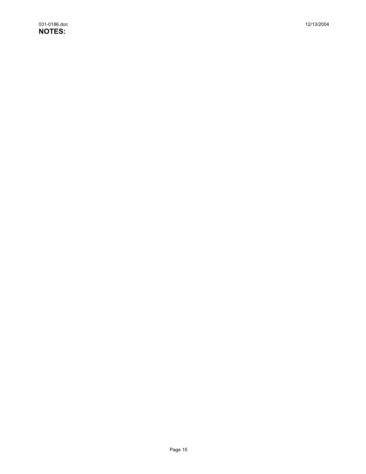031-0186.doc 12/13/2004 **NOTES:**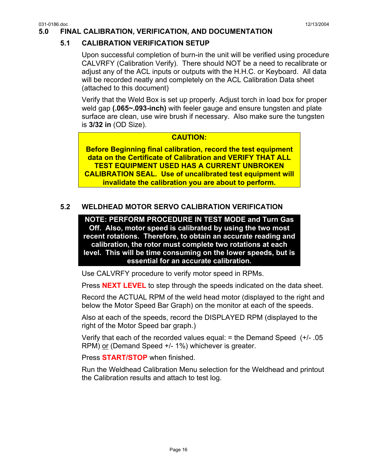## <span id="page-15-0"></span>**5.0 FINAL CALIBRATION, VERIFICATION, AND DOCUMENTATION**

## **5.1 CALIBRATION VERIFICATION SETUP**

Upon successful completion of burn-in the unit will be verified using procedure CALVRFY (Calibration Verify). There should NOT be a need to recalibrate or adjust any of the ACL inputs or outputs with the H.H.C. or Keyboard. All data will be recorded neatly and completely on the ACL Calibration Data sheet (attached to this document)

Verify that the Weld Box is set up properly. Adjust torch in load box for proper weld gap **(.065~.093-inch)** with feeler gauge and ensure tungsten and plate surface are clean, use wire brush if necessary. Also make sure the tungsten is **3/32 in** (OD Size).

#### **CAUTION:**

**Before Beginning final calibration, record the test equipment data on the Certificate of Calibration and VERIFY THAT ALL TEST EQUIPMENT USED HAS A CURRENT UNBROKEN CALIBRATION SEAL. Use of uncalibrated test equipment will invalidate the calibration you are about to perform.** 

## **5.2 WELDHEAD MOTOR SERVO CALIBRATION VERIFICATION**

**NOTE: PERFORM PROCEDURE IN TEST MODE and Turn Gas Off. Also, motor speed is calibrated by using the two most recent rotations. Therefore, to obtain an accurate reading and calibration, the rotor must complete two rotations at each level. This will be time consuming on the lower speeds, but is essential for an accurate calibration.** 

Use CALVRFY procedure to verify motor speed in RPMs.

Press **NEXT LEVEL** to step through the speeds indicated on the data sheet.

Record the ACTUAL RPM of the weld head motor (displayed to the right and below the Motor Speed Bar Graph) on the monitor at each of the speeds.

Also at each of the speeds, record the DISPLAYED RPM (displayed to the right of the Motor Speed bar graph.)

Verify that each of the recorded values equal: = the Demand Speed (+/- .05 RPM) or (Demand Speed +/- 1%) whichever is greater.

Press **START/STOP** when finished.

Run the Weldhead Calibration Menu selection for the Weldhead and printout the Calibration results and attach to test log.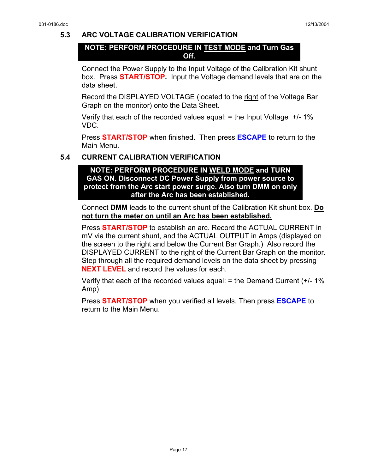#### <span id="page-16-0"></span>**5.3 ARC VOLTAGE CALIBRATION VERIFICATION**

#### **NOTE: PERFORM PROCEDURE IN TEST MODE and Turn Gas Off.**

Connect the Power Supply to the Input Voltage of the Calibration Kit shunt box. Press **START/STOP.** Input the Voltage demand levels that are on the data sheet.

Record the DISPLAYED VOLTAGE (located to the right of the Voltage Bar Graph on the monitor) onto the Data Sheet.

Verify that each of the recorded values equal:  $=$  the Input Voltage  $+/-1\%$ VDC.

Press **START/STOP** when finished. Then press **ESCAPE** to return to the Main Menu.

#### **5.4 CURRENT CALIBRATION VERIFICATION**

**NOTE: PERFORM PROCEDURE IN WELD MODE and TURN GAS ON. Disconnect DC Power Supply from power source to protect from the Arc start power surge. Also turn DMM on only after the Arc has been established.** 

Connect **DMM** leads to the current shunt of the Calibration Kit shunt box. **Do not turn the meter on until an Arc has been established.**

Press **START/STOP** to establish an arc. Record the ACTUAL CURRENT in mV via the current shunt, and the ACTUAL OUTPUT in Amps (displayed on the screen to the right and below the Current Bar Graph.) Also record the DISPLAYED CURRENT to the right of the Current Bar Graph on the monitor. Step through all the required demand levels on the data sheet by pressing **NEXT LEVEL** and record the values for each.

Verify that each of the recorded values equal:  $=$  the Demand Current ( $+/-1\%$ Amp)

Press **START/STOP** when you verified all levels. Then press **ESCAPE** to return to the Main Menu.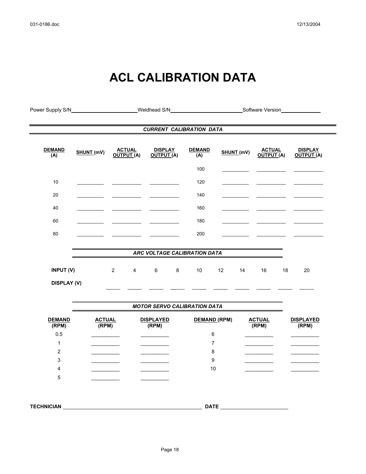$\hat{\mathcal{L}}$ 

## **ACL CALIBRATION DATA**

| Power Supply S/N        |                          |                                                     | Weldhead S/N                        |                      |                          |                             | Software Version             |  |
|-------------------------|--------------------------|-----------------------------------------------------|-------------------------------------|----------------------|--------------------------|-----------------------------|------------------------------|--|
|                         |                          |                                                     | <b>CURRENT CALIBRATION DATA</b>     |                      |                          |                             |                              |  |
| <b>DEMAND</b><br>(A)    | SHUNT (mV)               | <b>ACTUAL</b><br>OUTPUT (A)                         | <b>DISPLAY</b><br>OUTPUT (A)        | <b>DEMAND</b><br>(A) | SHUNT (mV)               | <b>ACTUAL</b><br>OUTPUT (A) | <b>DISPLAY</b><br>OUTPUT (A) |  |
|                         |                          |                                                     |                                     | 100                  |                          |                             |                              |  |
| 10                      | $\sim$                   | and the company of the                              |                                     | 120                  |                          |                             |                              |  |
| 20                      |                          |                                                     |                                     | 140                  |                          |                             |                              |  |
| 40                      |                          |                                                     |                                     | 160                  |                          |                             |                              |  |
| 60                      | $\overline{\phantom{a}}$ |                                                     |                                     | 180                  | $\overline{\phantom{a}}$ |                             |                              |  |
| 80                      |                          |                                                     |                                     | 200                  |                          |                             |                              |  |
|                         |                          |                                                     | ARC VOLTAGE CALIBRATION DATA        |                      |                          |                             |                              |  |
|                         |                          |                                                     |                                     |                      |                          |                             |                              |  |
| INPUT (V)               |                          | $\overline{2}$<br>$\overline{4}$                    | 6<br>$\bf 8$                        | 10                   | 12<br>14                 | 16<br>18                    | 20                           |  |
| <b>DISPLAY (V)</b>      |                          |                                                     |                                     |                      |                          |                             |                              |  |
|                         |                          |                                                     |                                     |                      |                          |                             |                              |  |
|                         |                          |                                                     | <b>MOTOR SERVO CALIBRATION DATA</b> |                      |                          |                             |                              |  |
| <b>DEMAND</b><br>(RPM)  |                          | <b>ACTUAL</b><br><b>DISPLAYED</b><br>(RPM)<br>(RPM) |                                     | DEMAND (RPM)         |                          | <b>ACTUAL</b><br>(RPM)      | <b>DISPLAYED</b><br>(RPM)    |  |
| 0.5                     |                          |                                                     |                                     | 6                    |                          |                             |                              |  |
| 1                       |                          |                                                     |                                     | $\overline{7}$       |                          |                             |                              |  |
| $\overline{\mathbf{c}}$ |                          |                                                     |                                     | 8                    |                          |                             |                              |  |
| 3                       |                          |                                                     |                                     | 9                    |                          |                             |                              |  |
| 4<br>5                  |                          |                                                     |                                     | 10                   |                          |                             |                              |  |
|                         |                          |                                                     |                                     |                      |                          |                             |                              |  |
|                         |                          |                                                     |                                     |                      |                          |                             |                              |  |
| <b>TECHNICIAN</b>       |                          |                                                     |                                     | <b>DATE</b>          |                          |                             |                              |  |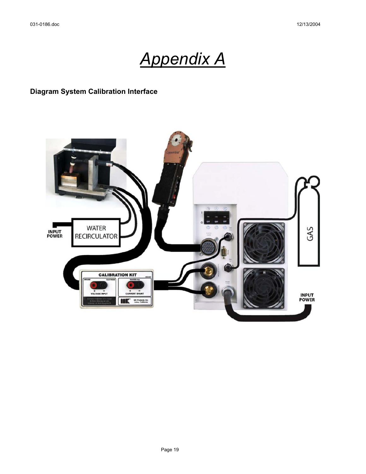# *Appendix A*

## <span id="page-18-0"></span>**Diagram System Calibration Interface**

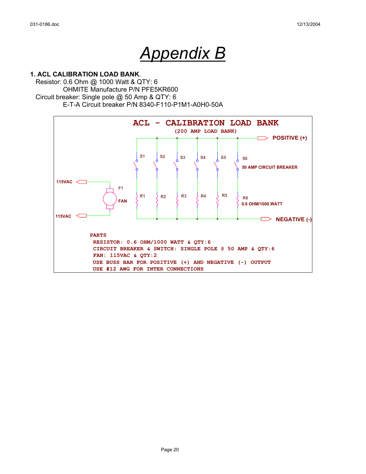## *Appendix B*

#### <span id="page-19-0"></span>**1. ACL CALIBRATION LOAD BANK**.

 Resistor: 0.6 Ohm @ 1000 Watt & QTY: 6 OHMITE Manufacture P/N PFE5KR600 Circuit breaker: Single pole @ 50 Amp & QTY: 6 E-T-A Circuit breaker P/N 8340-F110-P1M1-A0H0-50A

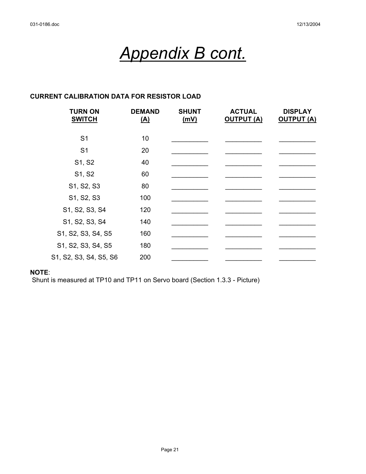# *Appendix B cont.*

## **CURRENT CALIBRATION DATA FOR RESISTOR LOAD**

| <b>TURN ON</b><br><b>SWITCH</b> | <b>DEMAND</b><br><u>(A)</u> | <b>SHUNT</b><br>(mV) | <b>ACTUAL</b><br><b>OUTPUT (A)</b> | <b>DISPLAY</b><br><b>OUTPUT (A)</b> |
|---------------------------------|-----------------------------|----------------------|------------------------------------|-------------------------------------|
| S <sub>1</sub>                  | 10                          |                      |                                    |                                     |
| S <sub>1</sub>                  | 20                          |                      |                                    |                                     |
| S1, S2                          | 40                          |                      |                                    |                                     |
| S1, S2                          | 60                          |                      |                                    |                                     |
| S1, S2, S3                      | 80                          |                      |                                    |                                     |
| S1, S2, S3                      | 100                         |                      |                                    |                                     |
| S1, S2, S3, S4                  | 120                         |                      |                                    |                                     |
| S1, S2, S3, S4                  | 140                         |                      |                                    |                                     |
| S1, S2, S3, S4, S5              | 160                         |                      |                                    |                                     |
| S1, S2, S3, S4, S5              | 180                         |                      |                                    |                                     |
| S1, S2, S3, S4, S5, S6          | 200                         |                      |                                    |                                     |

#### **NOTE**:

Shunt is measured at TP10 and TP11 on Servo board (Section 1.3.3 - Picture)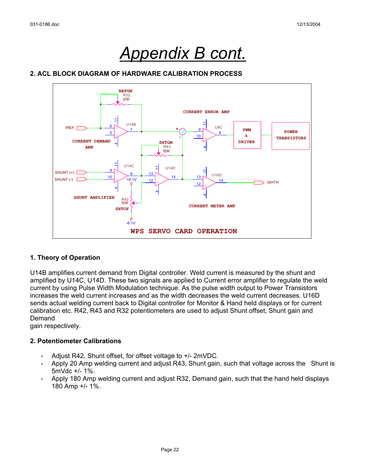## *Appendix B cont.*

#### **2. ACL BLOCK DIAGRAM OF HARDWARE CALIBRATION PROCESS**



#### **1. Theory of Operation**

U14B amplifies current demand from Digital controller. Weld current is measured by the shunt and amplified by U14C, U14D. These two signals are applied to Current error amplifier to regulate the weld current by using Pulse Width Modulation technique. As the pulse width output to Power Transistors increases the weld current increases and as the width decreases the weld current decreases. U16D sends actual welding current back to Digital controller for Monitor & Hand held displays or for current calibration etc. R42, R43 and R32 potentiometers are used to adjust Shunt offset, Shunt gain and Demand

gain respectively.

#### **2. Potentiometer Calibrations**

- Adjust R42, Shunt offset, for offset voltage to +/- 2mVDC.
- Apply 20 Amp welding current and adjust R43, Shunt gain, such that voltage across the Shunt is 5mVdc +/- 1%.
- Apply 180 Amp welding current and adjust R32, Demand gain, such that the hand held displays 180 Amp +/- 1%.